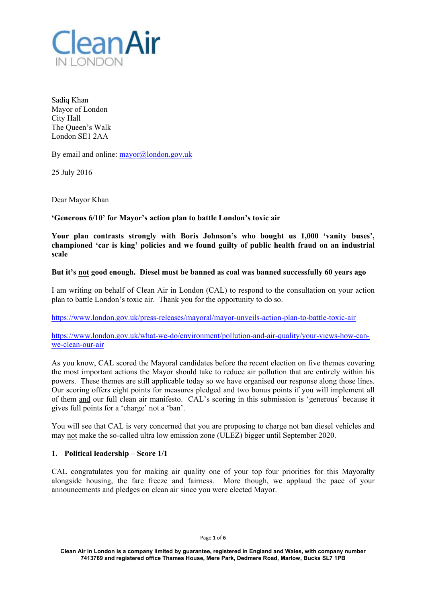

Sadiq Khan Mayor of London City Hall The Queen's Walk London SE1 2AA

By email and online:  $\frac{mayor}{a}$ london.gov.uk

25 July 2016

Dear Mayor Khan

**'Generous 6/10' for Mayor's action plan to battle London's toxic air** 

**Your plan contrasts strongly with Boris Johnson's who bought us 1,000 'vanity buses', championed 'car is king' policies and we found guilty of public health fraud on an industrial scale** 

## **But it's not good enough. Diesel must be banned as coal was banned successfully 60 years ago**

I am writing on behalf of Clean Air in London (CAL) to respond to the consultation on your action plan to battle London's toxic air. Thank you for the opportunity to do so.

https://www.london.gov.uk/press-releases/mayoral/mayor-unveils-action-plan-to-battle-toxic-air

https://www.london.gov.uk/what-we-do/environment/pollution-and-air-quality/your-views-how-canwe-clean-our-air

As you know, CAL scored the Mayoral candidates before the recent election on five themes covering the most important actions the Mayor should take to reduce air pollution that are entirely within his powers. These themes are still applicable today so we have organised our response along those lines. Our scoring offers eight points for measures pledged and two bonus points if you will implement all of them and our full clean air manifesto. CAL's scoring in this submission is 'generous' because it gives full points for a 'charge' not a 'ban'.

You will see that CAL is very concerned that you are proposing to charge not ban diesel vehicles and may not make the so-called ultra low emission zone (ULEZ) bigger until September 2020.

## **1. Political leadership – Score 1/1**

CAL congratulates you for making air quality one of your top four priorities for this Mayoralty alongside housing, the fare freeze and fairness. More though, we applaud the pace of your announcements and pledges on clean air since you were elected Mayor.

Page **1** of **6**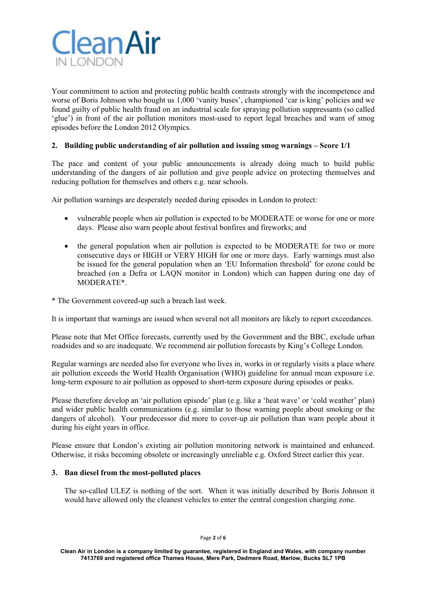

Your commitment to action and protecting public health contrasts strongly with the incompetence and worse of Boris Johnson who bought us 1,000 'vanity buses', championed 'car is king' policies and we found guilty of public health fraud on an industrial scale for spraying pollution suppressants (so called 'glue') in front of the air pollution monitors most-used to report legal breaches and warn of smog episodes before the London 2012 Olympics.

# **2. Building public understanding of air pollution and issuing smog warnings – Score 1/1**

The pace and content of your public announcements is already doing much to build public understanding of the dangers of air pollution and give people advice on protecting themselves and reducing pollution for themselves and others e.g. near schools.

Air pollution warnings are desperately needed during episodes in London to protect:

- vulnerable people when air pollution is expected to be MODERATE or worse for one or more days. Please also warn people about festival bonfires and fireworks; and
- the general population when air pollution is expected to be MODERATE for two or more consecutive days or HIGH or VERY HIGH for one or more days. Early warnings must also be issued for the general population when an 'EU Information threshold' for ozone could be breached (on a Defra or LAQN monitor in London) which can happen during one day of MODERATE\*.
- \* The Government covered-up such a breach last week.

It is important that warnings are issued when several not all monitors are likely to report exceedances.

Please note that Met Office forecasts, currently used by the Government and the BBC, exclude urban roadsides and so are inadequate. We recommend air pollution forecasts by King's College London.

Regular warnings are needed also for everyone who lives in, works in or regularly visits a place where air pollution exceeds the World Health Organisation (WHO) guideline for annual mean exposure i.e. long-term exposure to air pollution as opposed to short-term exposure during episodes or peaks.

Please therefore develop an 'air pollution episode' plan (e.g. like a 'heat wave' or 'cold weather' plan) and wider public health communications (e.g. similar to those warning people about smoking or the dangers of alcohol). Your predecessor did more to cover-up air pollution than warn people about it during his eight years in office.

Please ensure that London's existing air pollution monitoring network is maintained and enhanced. Otherwise, it risks becoming obsolete or increasingly unreliable e.g. Oxford Street earlier this year.

## **3. Ban diesel from the most-polluted places**

The so-called ULEZ is nothing of the sort. When it was initially described by Boris Johnson it would have allowed only the cleanest vehicles to enter the central congestion charging zone.

Page **2** of **6** 

**Clean Air in London is a company limited by guarantee, registered in England and Wales, with company number 7413769 and registered office Thames House, Mere Park, Dedmere Road, Marlow, Bucks SL7 1PB**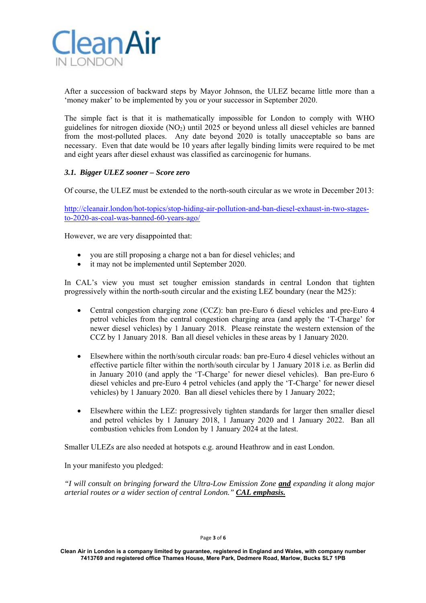

After a succession of backward steps by Mayor Johnson, the ULEZ became little more than a 'money maker' to be implemented by you or your successor in September 2020.

The simple fact is that it is mathematically impossible for London to comply with WHO guidelines for nitrogen dioxide (NO<sub>2</sub>) until 2025 or beyond unless all diesel vehicles are banned from the most-polluted places. Any date beyond 2020 is totally unacceptable so bans are necessary. Even that date would be 10 years after legally binding limits were required to be met and eight years after diesel exhaust was classified as carcinogenic for humans.

# *3.1. Bigger ULEZ sooner – Score zero*

Of course, the ULEZ must be extended to the north-south circular as we wrote in December 2013:

http://cleanair.london/hot-topics/stop-hiding-air-pollution-and-ban-diesel-exhaust-in-two-stagesto-2020-as-coal-was-banned-60-years-ago/

However, we are very disappointed that:

- you are still proposing a charge not a ban for diesel vehicles; and
- it may not be implemented until September 2020.

In CAL's view you must set tougher emission standards in central London that tighten progressively within the north-south circular and the existing LEZ boundary (near the M25):

- Central congestion charging zone (CCZ): ban pre-Euro 6 diesel vehicles and pre-Euro 4 petrol vehicles from the central congestion charging area (and apply the 'T-Charge' for newer diesel vehicles) by 1 January 2018. Please reinstate the western extension of the CCZ by 1 January 2018. Ban all diesel vehicles in these areas by 1 January 2020.
- Elsewhere within the north/south circular roads: ban pre-Euro 4 diesel vehicles without an effective particle filter within the north/south circular by 1 January 2018 i.e. as Berlin did in January 2010 (and apply the 'T-Charge' for newer diesel vehicles). Ban pre-Euro 6 diesel vehicles and pre-Euro 4 petrol vehicles (and apply the 'T-Charge' for newer diesel vehicles) by 1 January 2020. Ban all diesel vehicles there by 1 January 2022;
- Elsewhere within the LEZ: progressively tighten standards for larger then smaller diesel and petrol vehicles by 1 January 2018, 1 January 2020 and 1 January 2022. Ban all combustion vehicles from London by 1 January 2024 at the latest.

Smaller ULEZs are also needed at hotspots e.g. around Heathrow and in east London.

In your manifesto you pledged:

*"I will consult on bringing forward the Ultra-Low Emission Zone and expanding it along major arterial routes or a wider section of central London." CAL emphasis.*

Page **3** of **6** 

**Clean Air in London is a company limited by guarantee, registered in England and Wales, with company number 7413769 and registered office Thames House, Mere Park, Dedmere Road, Marlow, Bucks SL7 1PB**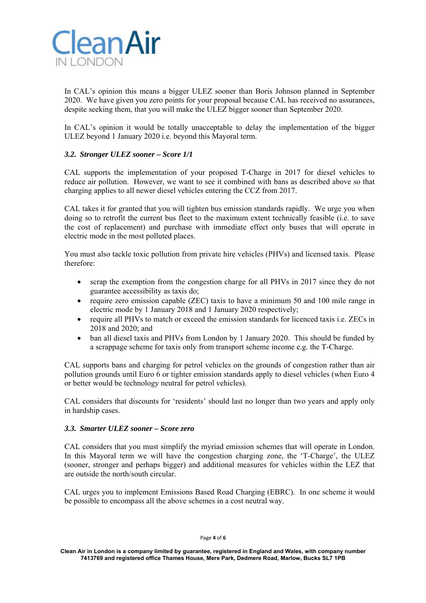

In CAL's opinion this means a bigger ULEZ sooner than Boris Johnson planned in September 2020. We have given you zero points for your proposal because CAL has received no assurances, despite seeking them, that you will make the ULEZ bigger sooner than September 2020.

In CAL's opinion it would be totally unacceptable to delay the implementation of the bigger ULEZ beyond 1 January 2020 i.e. beyond this Mayoral term.

## *3.2. Stronger ULEZ sooner – Score 1/1*

CAL supports the implementation of your proposed T-Charge in 2017 for diesel vehicles to reduce air pollution. However, we want to see it combined with bans as described above so that charging applies to all newer diesel vehicles entering the CCZ from 2017.

CAL takes it for granted that you will tighten bus emission standards rapidly. We urge you when doing so to retrofit the current bus fleet to the maximum extent technically feasible (i.e. to save the cost of replacement) and purchase with immediate effect only buses that will operate in electric mode in the most polluted places.

You must also tackle toxic pollution from private hire vehicles (PHVs) and licensed taxis. Please therefore:

- scrap the exemption from the congestion charge for all PHVs in 2017 since they do not guarantee accessibility as taxis do;
- require zero emission capable (ZEC) taxis to have a minimum 50 and 100 mile range in electric mode by 1 January 2018 and 1 January 2020 respectively;
- require all PHVs to match or exceed the emission standards for licenced taxis i.e. ZECs in 2018 and 2020; and
- ban all diesel taxis and PHVs from London by 1 January 2020. This should be funded by a scrappage scheme for taxis only from transport scheme income e.g. the T-Charge.

CAL supports bans and charging for petrol vehicles on the grounds of congestion rather than air pollution grounds until Euro 6 or tighter emission standards apply to diesel vehicles (when Euro 4 or better would be technology neutral for petrol vehicles).

CAL considers that discounts for 'residents' should last no longer than two years and apply only in hardship cases.

#### *3.3. Smarter ULEZ sooner – Score zero*

CAL considers that you must simplify the myriad emission schemes that will operate in London. In this Mayoral term we will have the congestion charging zone, the 'T-Charge', the ULEZ (sooner, stronger and perhaps bigger) and additional measures for vehicles within the LEZ that are outside the north/south circular.

CAL urges you to implement Emissions Based Road Charging (EBRC). In one scheme it would be possible to encompass all the above schemes in a cost neutral way.

Page **4** of **6**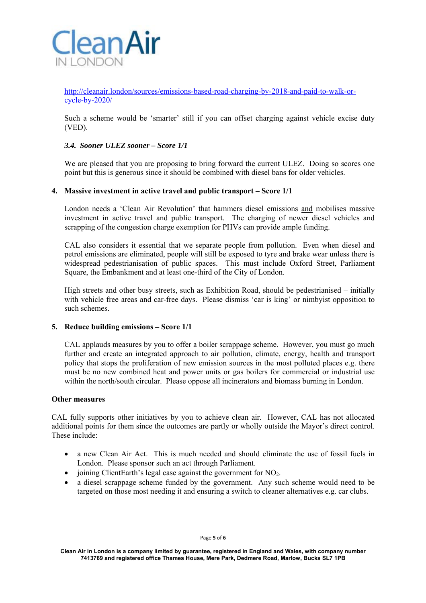

http://cleanair.london/sources/emissions-based-road-charging-by-2018-and-paid-to-walk-orcycle-by-2020/

Such a scheme would be 'smarter' still if you can offset charging against vehicle excise duty (VED).

## *3.4. Sooner ULEZ sooner – Score 1/1*

We are pleased that you are proposing to bring forward the current ULEZ. Doing so scores one point but this is generous since it should be combined with diesel bans for older vehicles.

#### **4. Massive investment in active travel and public transport – Score 1/1**

London needs a 'Clean Air Revolution' that hammers diesel emissions and mobilises massive investment in active travel and public transport. The charging of newer diesel vehicles and scrapping of the congestion charge exemption for PHVs can provide ample funding.

CAL also considers it essential that we separate people from pollution. Even when diesel and petrol emissions are eliminated, people will still be exposed to tyre and brake wear unless there is widespread pedestrianisation of public spaces. This must include Oxford Street, Parliament Square, the Embankment and at least one-third of the City of London.

High streets and other busy streets, such as Exhibition Road, should be pedestrianised – initially with vehicle free areas and car-free days. Please dismiss 'car is king' or nimbyist opposition to such schemes.

### **5. Reduce building emissions – Score 1/1**

CAL applauds measures by you to offer a boiler scrappage scheme. However, you must go much further and create an integrated approach to air pollution, climate, energy, health and transport policy that stops the proliferation of new emission sources in the most polluted places e.g. there must be no new combined heat and power units or gas boilers for commercial or industrial use within the north/south circular. Please oppose all incinerators and biomass burning in London.

#### **Other measures**

CAL fully supports other initiatives by you to achieve clean air. However, CAL has not allocated additional points for them since the outcomes are partly or wholly outside the Mayor's direct control. These include:

- a new Clean Air Act. This is much needed and should eliminate the use of fossil fuels in London. Please sponsor such an act through Parliament.
- joining ClientEarth's legal case against the government for  $NO<sub>2</sub>$ .
- a diesel scrappage scheme funded by the government. Any such scheme would need to be targeted on those most needing it and ensuring a switch to cleaner alternatives e.g. car clubs.

Page **5** of **6** 

**Clean Air in London is a company limited by guarantee, registered in England and Wales, with company number 7413769 and registered office Thames House, Mere Park, Dedmere Road, Marlow, Bucks SL7 1PB**